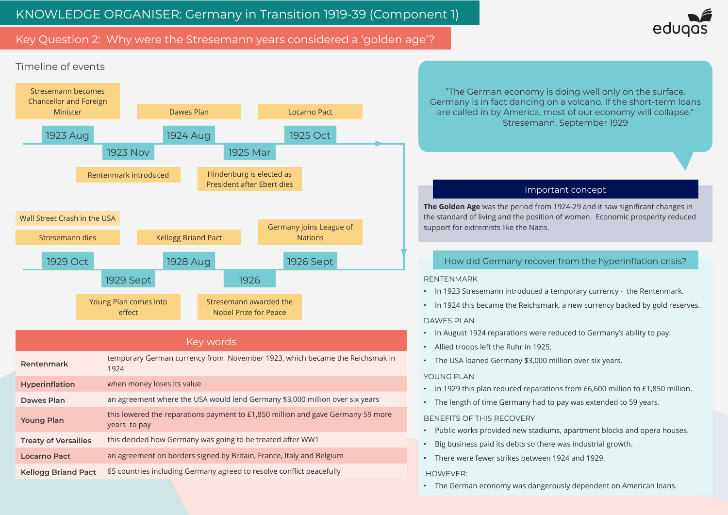# Key Question 2: Why were the Stresemann years considered a 'golden age'?

1924

**Hyperinflation** when money loses its value

years to pay

**Dawes Plan** an agreement where the USA would lend Germany \$3,000 million over six years

**Treaty of Versailles** this decided how Germany was going to be treated after WW1



**Locarno Pact** an agreement on borders signed by Britain, France, Italy and Belgium

**Kellogg Briand Pact** 65 countries including Germany agreed to resolve conflict peacefully

this lowered the reparations payment to £1,850 million and gave Germany 59 more<br> **Young Plan** 

**The Golden Age** was the period from 1924-29 and it saw significant changes in the standard of living and the position of women. Economic prosperity reduced

## Important concept

"The German economy is doing well only on the surface. Germany is in fact dancing on a volcano. If the short-term loans are called in by America, most of our economy will collapse." Stresemann, September 1929

- In 1923 Stresemann introduced a temporary currency the Rentenmark.
- In 1924 this became the Reichsmark, a new currency backed by gold reserves.
	-
	-
	-

| YOUNG PLAN |
|------------|
|------------|

- 
- In 1929 this plan reduced reparations from £6,600 million to £1,850 million. • The length of time Germany had to pay was extended to 59 years.

### BENEFITS OF THIS RECOVERY

- Big business paid its debts so there was industrial growth. • There were fewer strikes between 1924 and 1929.
- Public works provided new stadiums, apartment blocks and opera houses.
- 

#### HOWEVER:

• The German economy was dangerously dependent on American loans.



# How did Germany recover from the hyperinflation crisis?